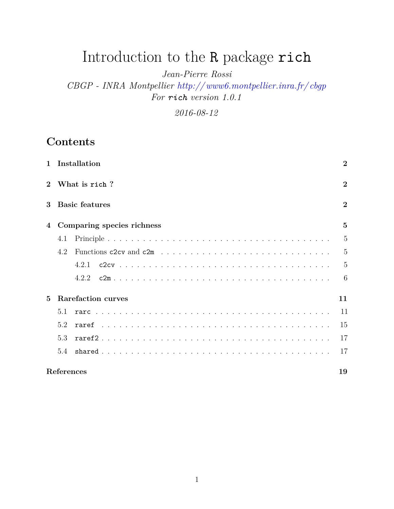# Introduction to the R package rich

*Jean-Pierre Rossi*

*CBGP - INRA Montpellier [http:// www6.montpellier.inra.fr/ cbgp](http://www6.montpellier.inra.fr/cbgp) For rich version 1.0.1*

*2016-08-12*

## **Contents**

| $\mathbf{1}$ |               | Installation               | $\overline{2}$ |  |
|--------------|---------------|----------------------------|----------------|--|
|              | What is rich? |                            |                |  |
| $\mathbf{3}$ |               | <b>Basic features</b>      | $\overline{2}$ |  |
|              |               | Comparing species richness | $\overline{5}$ |  |
|              | 4.1           |                            | 5              |  |
|              | 4.2           |                            | 5              |  |
|              |               | 4.2.1                      | 5              |  |
|              |               | 4.2.2                      | 6              |  |
| $\mathbf{5}$ |               | <b>Rarefaction curves</b>  | 11             |  |
|              | 5.1           |                            | 11             |  |
|              | 5.2           |                            | 15             |  |
|              | 5.3           |                            | 17             |  |
|              | 5.4           |                            | 17             |  |
|              | References    |                            | 19             |  |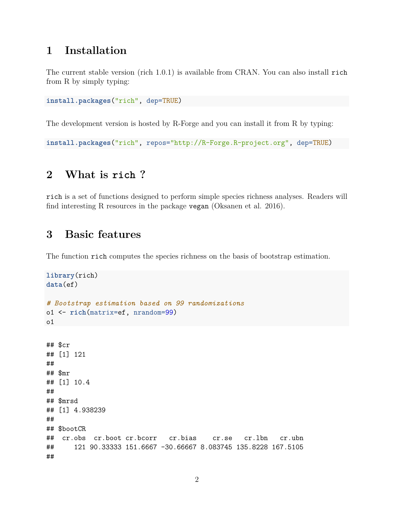## <span id="page-1-0"></span>**1 Installation**

The current stable version (rich 1.0.1) is available from CRAN. You can also install rich from R by simply typing:

**install.packages**("rich", dep=TRUE)

The development version is hosted by R-Forge and you can install it from R by typing:

```
install.packages("rich", repos="http://R-Forge.R-project.org", dep=TRUE)
```
## <span id="page-1-1"></span>**2 What is rich ?**

rich is a set of functions designed to perform simple species richness analyses. Readers will find interesting R resources in the package vegan (Oksanen et al. 2016).

## <span id="page-1-2"></span>**3 Basic features**

The function rich computes the species richness on the basis of bootstrap estimation.

```
library(rich)
data(ef)
# Bootstrap estimation based on 99 randomizations
o1 <- rich(matrix=ef, nrandom=99)
o1
## $cr
## [1] 121
##
## $mr
## [1] 10.4
##
## $mrsd
## [1] 4.938239
##
## $bootCR
## cr.obs cr.boot cr.bcorr cr.bias cr.se cr.lbn cr.ubn
## 121 90.33333 151.6667 -30.66667 8.083745 135.8228 167.5105
##
```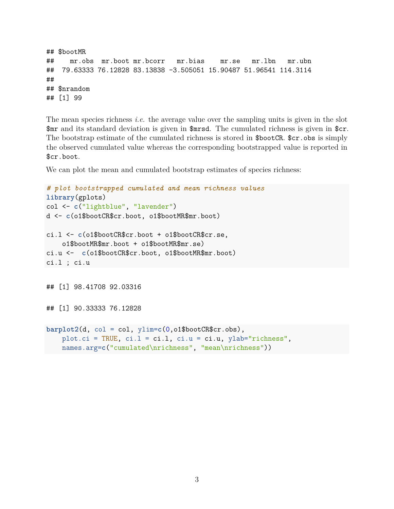```
## $bootMR
## mr.obs mr.boot mr.bcorr mr.bias mr.se mr.lbn mr.ubn
## 79.63333 76.12828 83.13838 -3.505051 15.90487 51.96541 114.3114
##
## $nrandom
## [1] 99
```
The mean species richness *i.e.* the average value over the sampling units is given in the slot \$mr and its standard deviation is given in \$mrsd. The cumulated richness is given in \$cr. The bootstrap estimate of the cumulated richness is stored in \$bootCR. \$cr.obs is simply the observed cumulated value whereas the corresponding bootstrapped value is reported in \$cr.boot.

We can plot the mean and cumulated bootstrap estimates of species richness:

```
# plot bootstrapped cumulated and mean richness values
library(gplots)
col <- c("lightblue", "lavender")
d <- c(o1$bootCR$cr.boot, o1$bootMR$mr.boot)
ci.l <- c(o1$bootCR$cr.boot + o1$bootCR$cr.se,
    o1$bootMR$mr.boot + o1$bootMR$mr.se)
ci.u <- c(o1$bootCR$cr.boot, o1$bootMR$mr.boot)
ci.l ; ci.u
## [1] 98.41708 92.03316
## [1] 90.33333 76.12828
barplot2(d, col = col, ylim=c(0,o1$bootCR$cr.obs),
    plot.ci = TRUE, ci.l = ci.l, ci.u = ci.u, ylab="richness",
    names.arg=c("cumulated\nrichness", "mean\nrichness"))
```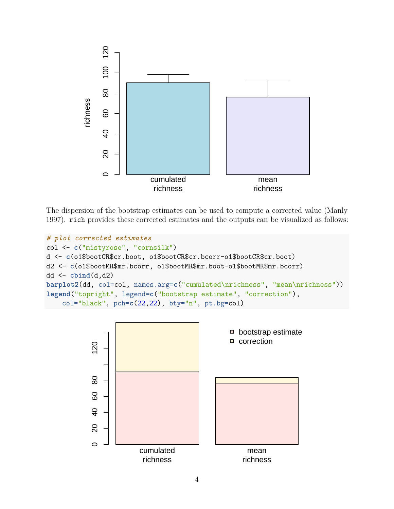

The dispersion of the bootstrap estimates can be used to compute a corrected value (Manly 1997). rich provides these corrected estimates and the outputs can be visualized as follows:

```
# plot corrected estimates
col <- c("mistyrose", "cornsilk")
d <- c(o1$bootCR$cr.boot, o1$bootCR$cr.bcorr-o1$bootCR$cr.boot)
d2 <- c(o1$bootMR$mr.bcorr, o1$bootMR$mr.boot-o1$bootMR$mr.bcorr)
dd <- cbind(d,d2)
barplot2(dd, col=col, names.arg=c("cumulated\nrichness", "mean\nrichness"))
legend("topright", legend=c("bootstrap estimate", "correction"),
    col="black", pch=c(22,22), bty="n", pt.bg=col)
```
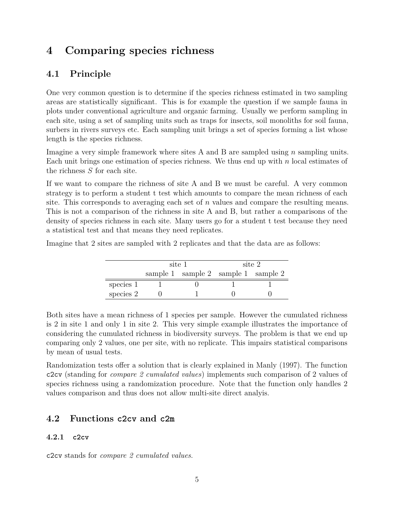## <span id="page-4-0"></span>**4 Comparing species richness**

## <span id="page-4-1"></span>**4.1 Principle**

One very common question is to determine if the species richness estimated in two sampling areas are statistically significant. This is for example the question if we sample fauna in plots under conventional agriculture and organic farming. Usually we perform sampling in each site, using a set of sampling units such as traps for insects, soil monoliths for soil fauna, surbers in rivers surveys etc. Each sampling unit brings a set of species forming a list whose length is the species richness.

Imagine a very simple framework where sites A and B are sampled using *n* sampling units. Each unit brings one estimation of species richness. We thus end up with *n* local estimates of the richness *S* for each site.

If we want to compare the richness of site A and B we must be careful. A very common strategy is to perform a student t test which amounts to compare the mean richness of each site. This corresponds to averaging each set of *n* values and compare the resulting means. This is not a comparison of the richness in site A and B, but rather a comparisons of the density of species richness in each site. Many users go for a student t test because they need a statistical test and that means they need replicates.

Imagine that 2 sites are sampled with 2 replicates and that the data are as follows:

|           | site 1 |                                     | site 2 |  |
|-----------|--------|-------------------------------------|--------|--|
|           |        | sample 1 sample 2 sample 1 sample 2 |        |  |
| species 1 |        |                                     |        |  |
| species 2 |        |                                     |        |  |

Both sites have a mean richness of 1 species per sample. However the cumulated richness is 2 in site 1 and only 1 in site 2. This very simple example illustrates the importance of considering the cumulated richness in biodiversity surveys. The problem is that we end up comparing only 2 values, one per site, with no replicate. This impairs statistical comparisons by mean of usual tests.

Randomization tests offer a solution that is clearly explained in Manly (1997). The function c2cv (standing for *compare 2 cumulated values*) implements such comparison of 2 values of species richness using a randomization procedure. Note that the function only handles 2 values comparison and thus does not allow multi-site direct analyis.

### <span id="page-4-2"></span>**4.2 Functions c2cv and c2m**

#### <span id="page-4-3"></span>**4.2.1 c2cv**

c2cv stands for *compare 2 cumulated values*.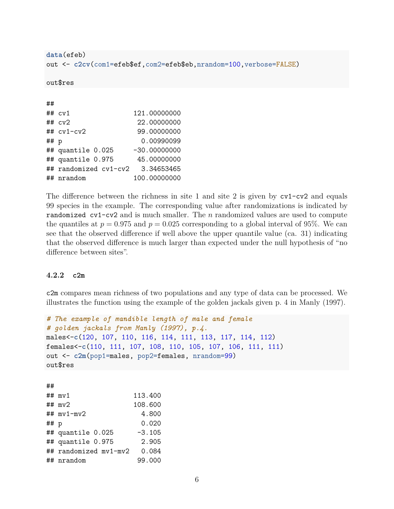```
data(efeb)
out <- c2cv(com1=efeb$ef,com2=efeb$eb,nrandom=100,verbose=FALSE)
out$res
##
## cv1 121.00000000
## cv2 22.00000000
## cv1-cv2 99.00000000
## p 0.00990099
## quantile 0.025 -30.00000000
```
## quantile 0.975 45.00000000 ## randomized cv1-cv2 3.34653465 ## nrandom 100.00000000

The difference between the richness in site 1 and site 2 is given by cv1-cv2 and equals 99 species in the example. The corresponding value after randomizations is indicated by randomized cv1-cv2 and is much smaller. The *n* randomized values are used to compute the quantiles at  $p = 0.975$  and  $p = 0.025$  corresponding to a global interval of 95%. We can see that the observed difference if well above the upper quantile value (ca. 31) indicating that the observed difference is much larger than expected under the null hypothesis of "no difference between sites".

#### <span id="page-5-0"></span>**4.2.2 c2m**

c2m compares mean richness of two populations and any type of data can be processed. We illustrates the function using the example of the golden jackals given p. 4 in Manly (1997).

```
# The example of mandible length of male and female
# golden jackals from Manly (1997), p.4.
males<-c(120, 107, 110, 116, 114, 111, 113, 117, 114, 112)
females<-c(110, 111, 107, 108, 110, 105, 107, 106, 111, 111)
out <- c2m(pop1=males, pop2=females, nrandom=99)
out$res
##
## mv1 113.400
```

|      | ## $mv2$              | 108.600  |
|------|-----------------------|----------|
|      | ## $mv1$ - $mv2$      | 4.800    |
| ## p |                       | 0.020    |
|      | ## quantile 0.025     | $-3.105$ |
|      | ## quantile 0.975     | 2.905    |
|      | ## randomized mv1-mv2 | 0.084    |
|      | ## nrandom            | 99.000   |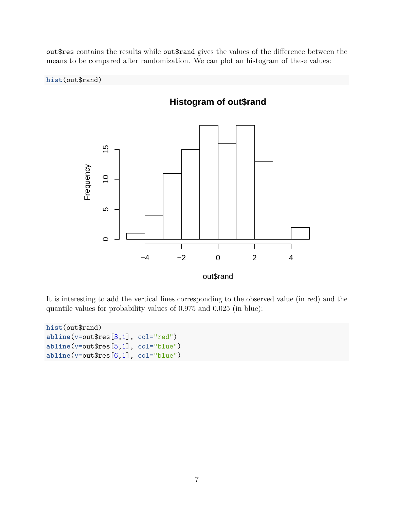out\$res contains the results while out\$rand gives the values of the difference between the means to be compared after randomization. We can plot an histogram of these values:

**hist**(out\$rand)



It is interesting to add the vertical lines corresponding to the observed value (in red) and the quantile values for probability values of 0.975 and 0.025 (in blue):

```
hist(out$rand)
abline(v=out$res[3,1], col="red")
abline(v=out$res[5,1], col="blue")
abline(v=out$res[6,1], col="blue")
```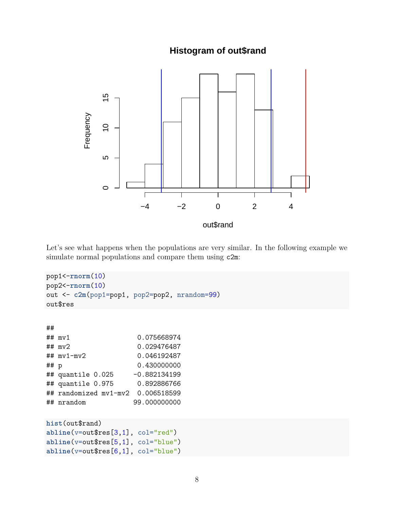**Histogram of out\$rand**



Let's see what happens when the populations are very similar. In the following example we simulate normal populations and compare them using c2m:

```
pop1<-rnorm(10)
pop2<-rnorm(10)
out <- c2m(pop1=pop1, pop2=pop2, nrandom=99)
out$res
##
## mv1 0.075668974
## mv2 0.029476487
## mv1-mv2 0.046192487
## p 0.430000000
## quantile 0.025 -0.882134199
## quantile 0.975 0.892886766
## randomized mv1-mv2 0.006518599
## nrandom 99.000000000
hist(out$rand)
abline(v=out$res[3,1], col="red")
abline(v=out$res[5,1], col="blue")
abline(v=out$res[6,1], col="blue")
```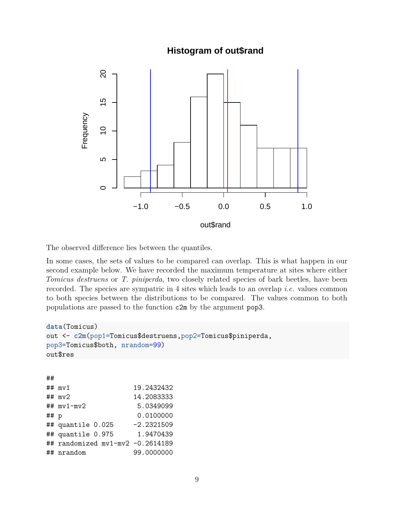### **Histogram of out\$rand**



The observed difference lies between the quantiles.

In some cases, the sets of values to be compared can overlap. This is what happen in our second example below. We have recorded the maximum temperature at sites where either *Tomicus destruens* or *T. piniperda*, two closely related species of bark beetles, have been recorded. The species are sympatric in 4 sites which leads to an overlap *i.e.* values common to both species between the distributions to be compared. The values common to both populations are passed to the function c2m by the argument pop3.

```
data(Tomicus)
out <- c2m(pop1=Tomicus$destruens,pop2=Tomicus$piniperda,
pop3=Tomicus$both, nrandom=99)
out$res
##
## mv1 19.2432432
## mv2 14.2083333
## mv1-mv2 5.0349099
## p 0.0100000
## quantile 0.025 -2.2321509
## quantile 0.975 1.9470439
## randomized mv1-mv2 -0.2614189
## nrandom 99.0000000
```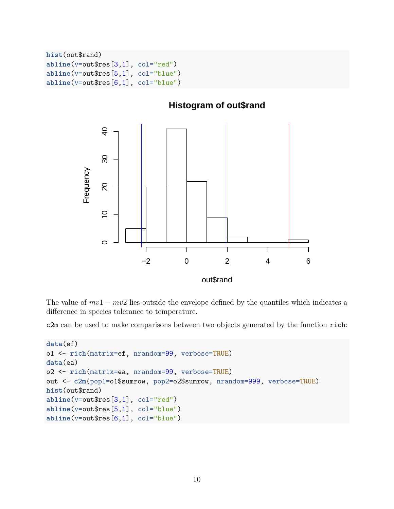```
hist(out$rand)
abline(v=out$res[3,1], col="red")
abline(v=out$res[5,1], col="blue")
abline(v=out$res[6,1], col="blue")
```


The value of  $mv_1 - mv_2$  lies outside the envelope defined by the quantiles which indicates a difference in species tolerance to temperature.

c2m can be used to make comparisons between two objects generated by the function rich:

```
data(ef)
o1 <- rich(matrix=ef, nrandom=99, verbose=TRUE)
data(ea)
o2 <- rich(matrix=ea, nrandom=99, verbose=TRUE)
out <- c2m(pop1=o1$sumrow, pop2=o2$sumrow, nrandom=999, verbose=TRUE)
hist(out$rand)
abline(v=out$res[3,1], col="red")
abline(v=out$res[5,1], col="blue")
abline(v=out$res[6,1], col="blue")
```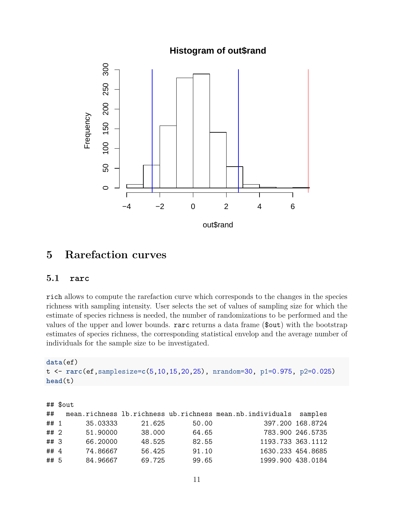**Histogram of out\$rand**



## <span id="page-10-0"></span>**5 Rarefaction curves**

#### <span id="page-10-1"></span>**5.1 rarc**

rich allows to compute the rarefaction curve which corresponds to the changes in the species richness with sampling intensity. User selects the set of values of sampling size for which the estimate of species richness is needed, the number of randomizations to be performed and the values of the upper and lower bounds. rarc returns a data frame (\$out) with the bootstrap estimates of species richness, the corresponding statistical envelop and the average number of individuals for the sample size to be investigated.

```
data(ef)
t <- rarc(ef,samplesize=c(5,10,15,20,25), nrandom=30, p1=0.975, p2=0.025)
head(t)
```

| $##$ \$out |          |        |       |                                                           |                   |
|------------|----------|--------|-------|-----------------------------------------------------------|-------------------|
| ##         |          |        |       | mean.richness lb.richness ub.richness mean.nb.individuals | samples           |
| ## 1       | 35.03333 | 21.625 | 50.00 |                                                           | 397.200 168.8724  |
| ## 2       | 51.90000 | 38.000 | 64.65 |                                                           | 783.900 246.5735  |
| ## 3       | 66.20000 | 48.525 | 82.55 |                                                           | 1193.733 363.1112 |
| ## 4       | 74.86667 | 56.425 | 91.10 |                                                           | 1630.233 454.8685 |
| ## 5       | 84.96667 | 69.725 | 99.65 |                                                           | 1999.900 438.0184 |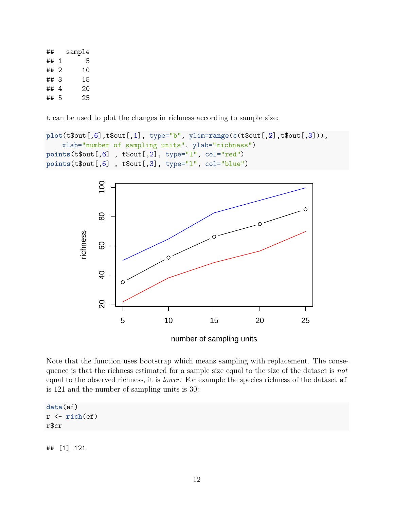| ##   | sample |
|------|--------|
| ## 1 | 5      |
| ## 2 | 10     |
| ##3  | 15     |
| ##4  | 20     |
| ##5  | 25     |

t can be used to plot the changes in richness according to sample size:

```
plot(t$out[,6],t$out[,1], type="b", ylim=range(c(t$out[,2],t$out[,3])),
    xlab="number of sampling units", ylab="richness")
points(t$out[,6] , t$out[,2], type="l", col="red")
points(t$out[,6] , t$out[,3], type="l", col="blue")
```


number of sampling units

Note that the function uses bootstrap which means sampling with replacement. The consequence is that the richness estimated for a sample size equal to the size of the dataset is *not* equal to the observed richness, it is *lower*. For example the species richness of the dataset ef is 121 and the number of sampling units is 30:

**data**(ef) r <- **rich**(ef) r\$cr

## [1] 121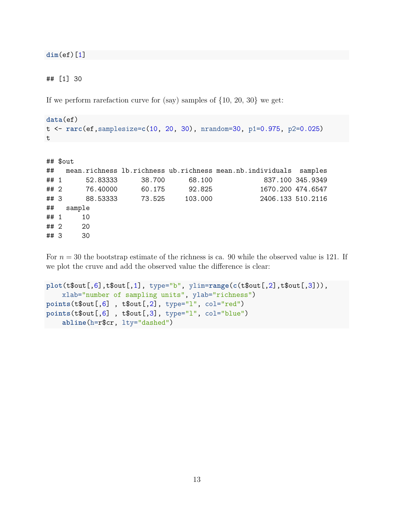**dim**(ef)[1]

## [1] 30

If we perform rarefaction curve for (say) samples of  $\{10, 20, 30\}$  we get:

```
data(ef)
t <- rarc(ef,samplesize=c(10, 20, 30), nrandom=30, p1=0.975, p2=0.025)
t
```

```
## $out
## mean.richness lb.richness ub.richness mean.nb.individuals samples
## 1 52.83333 38.700 68.100 837.100 345.9349
## 2 76.40000 60.175 92.825 1670.200 474.6547
## 3 88.53333 73.525 103.000 2406.133 510.2116
## sample
## 1 10
## 2 20
## 3 30
```
For  $n = 30$  the bootstrap estimate of the richness is ca. 90 while the observed value is 121. If we plot the cruve and add the observed value the difference is clear:

```
plot(t$out[,6],t$out[,1], type="b", ylim=range(c(t$out[,2],t$out[,3])),
    xlab="number of sampling units", ylab="richness")
points(t$out[,6] , t$out[,2], type="l", col="red")
points(t$out[,6] , t$out[,3], type="l", col="blue")
    abline(h=r$cr, lty="dashed")
```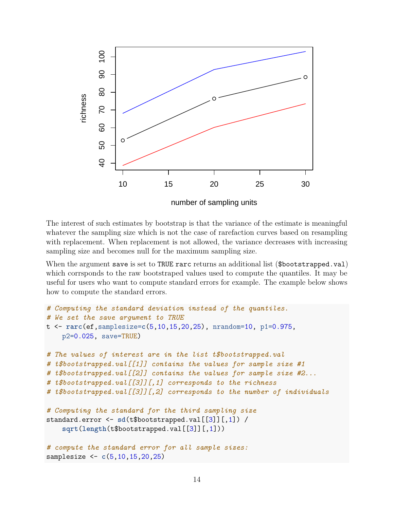

The interest of such estimates by bootstrap is that the variance of the estimate is meaningful whatever the sampling size which is not the case of rarefaction curves based on resampling with replacement. When replacement is not allowed, the variance decreases with increasing sampling size and becomes null for the maximum sampling size.

When the argument save is set to TRUE rarc returns an additional list (\$bootstrapped.val) which corrsponds to the raw bootstraped values used to compute the quantiles. It may be useful for users who want to compute standard errors for example. The example below shows how to compute the standard errors.

```
# Computing the standard deviation instead of the quantiles.
# We set the save argument to TRUE
t <- rarc(ef,samplesize=c(5,10,15,20,25), nrandom=10, p1=0.975,
    p2=0.025, save=TRUE)
# The values of interest are in the list t$bootstrapped.val
# t$bootstrapped.val[[1]] contains the values for sample size #1
# t$bootstrapped.val[[2]] contains the values for sample size #2...
# t$bootstrapped.val[[3]][,1] corresponds to the richness
# t$bootstrapped.val[[3]][,2] corresponds to the number of individuals
# Computing the standard for the third sampling size
standard.error <- sd(t$bootstrapped.val[[3]][,1]) /
    sqrt(length(t$bootstrapped.val[[3]][,1]))
# compute the standard error for all sample sizes:
samplesize <- c(5,10,15,20,25)
```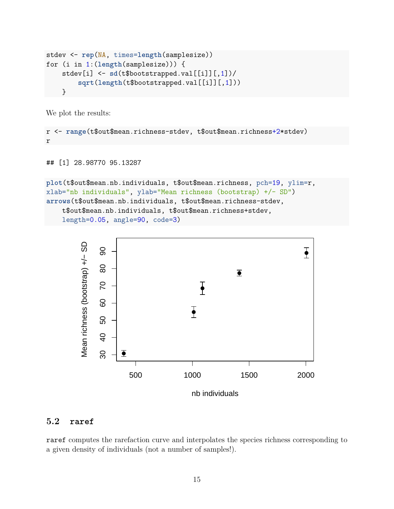```
stdev <- rep(NA, times=length(samplesize))
for (i in 1:(length(samplesize))) {
    stdev[i] <- sd(t$bootstrapped.val[[i]][,1])/
        sqrt(length(t$bootstrapped.val[[i]][,1]))
    }
```
We plot the results:

```
r <- range(t$out$mean.richness-stdev, t$out$mean.richness+2*stdev)
r
```

```
## [1] 28.98770 95.13287
```

```
plot(t$out$mean.nb.individuals, t$out$mean.richness, pch=19, ylim=r,
xlab="nb individuals", ylab="Mean richness (bootstrap) +/- SD")
arrows(t$out$mean.nb.individuals, t$out$mean.richness-stdev,
    t$out$mean.nb.individuals, t$out$mean.richness+stdev,
    length=0.05, angle=90, code=3)
```


#### <span id="page-14-0"></span>**5.2 raref**

raref computes the rarefaction curve and interpolates the species richness corresponding to a given density of individuals (not a number of samples!).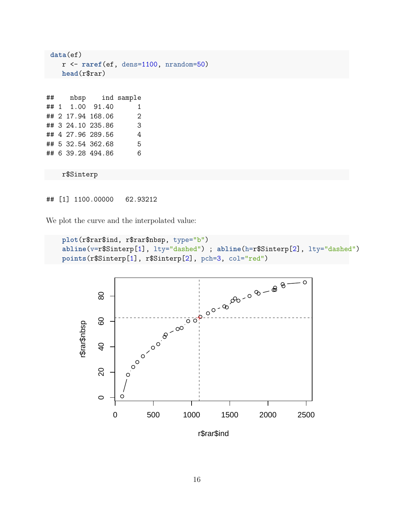```
data(ef)
   r <- raref(ef, dens=1100, nrandom=50)
   head(r$rar)
## nbsp ind sample
## 1 1.00 91.40 1
## 2 17.94 168.06 2
## 3 24.10 235.86 3
## 4 27.96 289.56 4
## 5 32.54 362.68 5
## 6 39.28 494.86 6
   r$Sinterp
```
## [1] 1100.00000 62.93212

We plot the curve and the interpolated value:

```
plot(r$rar$ind, r$rar$nbsp, type="b")
abline(v=r$Sinterp[1], lty="dashed") ; abline(h=r$Sinterp[2], lty="dashed")
```
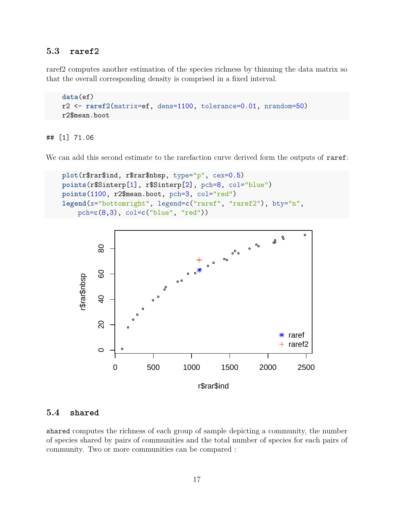#### <span id="page-16-0"></span>**5.3 raref2**

raref2 computes another estimation of the species richness by thinning the data matrix so that the overall corresponding density is comprised in a fixed interval.

```
data(ef)
r2 <- raref2(matrix=ef, dens=1100, tolerance=0.01, nrandom=50)
r2$mean.boot
```
## [1] 71.06

We can add this second estimate to the rarefaction curve derived form the outputs of raref:

```
plot(r$rar$ind, r$rar$nbsp, type="p", cex=0.5)
points(r$Sinterp[1], r$Sinterp[2], pch=8, col="blue")
points(1100, r2$mean.boot, pch=3, col="red")
legend(x="bottomright", legend=c("raref", "raref2"), bty="n",
   pch=c(8,3), col=c("blue", "red"))
```


#### <span id="page-16-1"></span>**5.4 shared**

shared computes the richness of each group of sample depicting a community, the number of species shared by pairs of communities and the total number of species for each pairs of community. Two or more communities can be compared :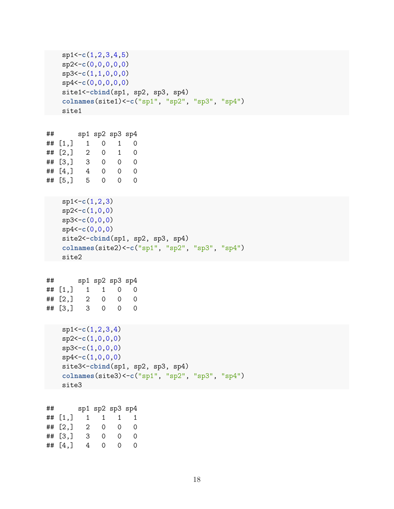```
sp1<-c(1,2,3,4,5)
   sp2<-c(0,0,0,0,0)
   sp3<-c(1,1,0,0,0)
   sp4<-c(0,0,0,0,0)
   site1<-cbind(sp1, sp2, sp3, sp4)
   colnames(site1)<-c("sp1", "sp2", "sp3", "sp4")
   site1
## sp1 sp2 sp3 sp4
## [1,] 1 0 1 0
\# [2,] 2 0 1 0
## [3,] 3 0 0 0
\# [4,] 4 0 0 0
## [5,] 5 0 0 0
   sp1<-c(1,2,3)
   sp2<-c(1,0,0)
   sp3<-c(0,0,0)
   sp4<-c(0,0,0)
   site2<-cbind(sp1, sp2, sp3, sp4)
   colnames(site2)<-c("sp1", "sp2", "sp3", "sp4")
   site2
## sp1 sp2 sp3 sp4
\# [1,] 1 1 0 0
\# [2,] 2 0 0 0
## [3,] 3 0 0 0
   sp1<-c(1,2,3,4)
   sp2<-c(1,0,0,0)
   sp3<-c(1,0,0,0)
   sp4<-c(1,0,0,0)
   site3<-cbind(sp1, sp2, sp3, sp4)
   colnames(site3)<-c("sp1", "sp2", "sp3", "sp4")
   site3
```
## sp1 sp2 sp3 sp4 ## [1,] 1 1 1 1 ## [2,] 2 0 0 0 ## [3,] 3 0 0 0 ## [4,] 4 0 0 0